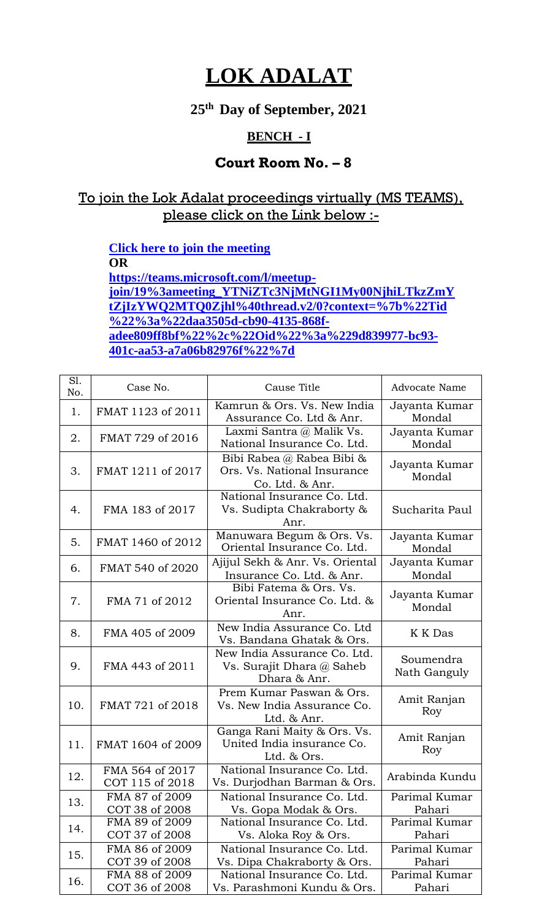## **LOK ADALAT**

**25 th Day of September, 2021**

## **BENCH - I**

## **Court Room No. – 8**

## To join the Lok Adalat proceedings virtually (MS TEAMS), please click on the Link below :-

**[Click here to join the meeting](https://teams.microsoft.com/l/meetup-join/19%3ameeting_YTNiZTc3NjMtNGI1My00NjhiLTkzZmYtZjIzYWQ2MTQ0Zjhl%40thread.v2/0?context=%7b%22Tid%22%3a%22daa3505d-cb90-4135-868f-adee809ff8bf%22%2c%22Oid%22%3a%229d839977-bc93-401c-aa53-a7a06b82976f%22%7d) OR [https://teams.microsoft.com/l/meetup](https://teams.microsoft.com/l/meetup-join/19%3ameeting_YTNiZTc3NjMtNGI1My00NjhiLTkzZmYtZjIzYWQ2MTQ0Zjhl%40thread.v2/0?context=%7b%22Tid%22%3a%22daa3505d-cb90-4135-868f-adee809ff8bf%22%2c%22Oid%22%3a%229d839977-bc93-401c-aa53-a7a06b82976f%22%7d)[join/19%3ameeting\\_YTNiZTc3NjMtNGI1My00NjhiLTkzZmY](https://teams.microsoft.com/l/meetup-join/19%3ameeting_YTNiZTc3NjMtNGI1My00NjhiLTkzZmYtZjIzYWQ2MTQ0Zjhl%40thread.v2/0?context=%7b%22Tid%22%3a%22daa3505d-cb90-4135-868f-adee809ff8bf%22%2c%22Oid%22%3a%229d839977-bc93-401c-aa53-a7a06b82976f%22%7d) [tZjIzYWQ2MTQ0Zjhl%40thread.v2/0?context=%7b%22Tid](https://teams.microsoft.com/l/meetup-join/19%3ameeting_YTNiZTc3NjMtNGI1My00NjhiLTkzZmYtZjIzYWQ2MTQ0Zjhl%40thread.v2/0?context=%7b%22Tid%22%3a%22daa3505d-cb90-4135-868f-adee809ff8bf%22%2c%22Oid%22%3a%229d839977-bc93-401c-aa53-a7a06b82976f%22%7d) [%22%3a%22daa3505d-cb90-4135-868f](https://teams.microsoft.com/l/meetup-join/19%3ameeting_YTNiZTc3NjMtNGI1My00NjhiLTkzZmYtZjIzYWQ2MTQ0Zjhl%40thread.v2/0?context=%7b%22Tid%22%3a%22daa3505d-cb90-4135-868f-adee809ff8bf%22%2c%22Oid%22%3a%229d839977-bc93-401c-aa53-a7a06b82976f%22%7d)[adee809ff8bf%22%2c%22Oid%22%3a%229d839977-bc93-](https://teams.microsoft.com/l/meetup-join/19%3ameeting_YTNiZTc3NjMtNGI1My00NjhiLTkzZmYtZjIzYWQ2MTQ0Zjhl%40thread.v2/0?context=%7b%22Tid%22%3a%22daa3505d-cb90-4135-868f-adee809ff8bf%22%2c%22Oid%22%3a%229d839977-bc93-401c-aa53-a7a06b82976f%22%7d) [401c-aa53-a7a06b82976f%22%7d](https://teams.microsoft.com/l/meetup-join/19%3ameeting_YTNiZTc3NjMtNGI1My00NjhiLTkzZmYtZjIzYWQ2MTQ0Zjhl%40thread.v2/0?context=%7b%22Tid%22%3a%22daa3505d-cb90-4135-868f-adee809ff8bf%22%2c%22Oid%22%3a%229d839977-bc93-401c-aa53-a7a06b82976f%22%7d)**

| S1.<br>No. | Case No.                           | Cause Title                                                                 | <b>Advocate Name</b>      |
|------------|------------------------------------|-----------------------------------------------------------------------------|---------------------------|
| 1.         | FMAT 1123 of 2011                  | Kamrun & Ors. Vs. New India<br>Assurance Co. Ltd & Anr.                     | Jayanta Kumar<br>Mondal   |
| 2.         | FMAT 729 of 2016                   | Laxmi Santra @ Malik Vs.<br>National Insurance Co. Ltd.                     | Jayanta Kumar<br>Mondal   |
| 3.         | FMAT 1211 of 2017                  | Bibi Rabea @ Rabea Bibi &<br>Ors. Vs. National Insurance<br>Co. Ltd. & Anr. | Jayanta Kumar<br>Mondal   |
| 4.         | FMA 183 of 2017                    | National Insurance Co. Ltd.<br>Vs. Sudipta Chakraborty &<br>Anr.            | Sucharita Paul            |
| 5.         | FMAT 1460 of 2012                  | Manuwara Begum & Ors. Vs.<br>Oriental Insurance Co. Ltd.                    | Jayanta Kumar<br>Mondal   |
| 6.         | FMAT 540 of 2020                   | Ajijul Sekh & Anr. Vs. Oriental<br>Insurance Co. Ltd. & Anr.                | Jayanta Kumar<br>Mondal   |
| 7.         | FMA 71 of 2012                     | Bibi Fatema & Ors. Vs.<br>Oriental Insurance Co. Ltd. &<br>Anr.             | Jayanta Kumar<br>Mondal   |
| 8.         | FMA 405 of 2009                    | New India Assurance Co. Ltd<br>Vs. Bandana Ghatak & Ors.                    | K K Das                   |
| 9.         | FMA 443 of 2011                    | New India Assurance Co. Ltd.<br>Vs. Surajit Dhara @ Saheb<br>Dhara & Anr.   | Soumendra<br>Nath Ganguly |
| 10.        | FMAT 721 of 2018                   | Prem Kumar Paswan & Ors.<br>Vs. New India Assurance Co.<br>Ltd. & Anr.      | Amit Ranjan<br>Roy        |
| 11.        | FMAT 1604 of 2009                  | Ganga Rani Maity & Ors. Vs.<br>United India insurance Co.<br>Ltd. & Ors.    | Amit Ranjan<br>Roy        |
| 12.        | FMA 564 of 2017<br>COT 115 of 2018 | National Insurance Co. Ltd.<br>Vs. Durjodhan Barman & Ors.                  | Arabinda Kundu            |
| 13.        | FMA 87 of 2009<br>COT 38 of 2008   | National Insurance Co. Ltd.<br>Vs. Gopa Modak & Ors.                        | Parimal Kumar<br>Pahari   |
| 14.        | FMA 89 of 2009<br>COT 37 of 2008   | National Insurance Co. Ltd.<br>Vs. Aloka Roy & Ors.                         | Parimal Kumar<br>Pahari   |
| 15.        | FMA 86 of 2009<br>COT 39 of 2008   | National Insurance Co. Ltd.<br>Vs. Dipa Chakraborty & Ors.                  | Parimal Kumar<br>Pahari   |
| 16.        | FMA 88 of 2009<br>COT 36 of 2008   | National Insurance Co. Ltd.<br>Vs. Parashmoni Kundu & Ors.                  | Parimal Kumar<br>Pahari   |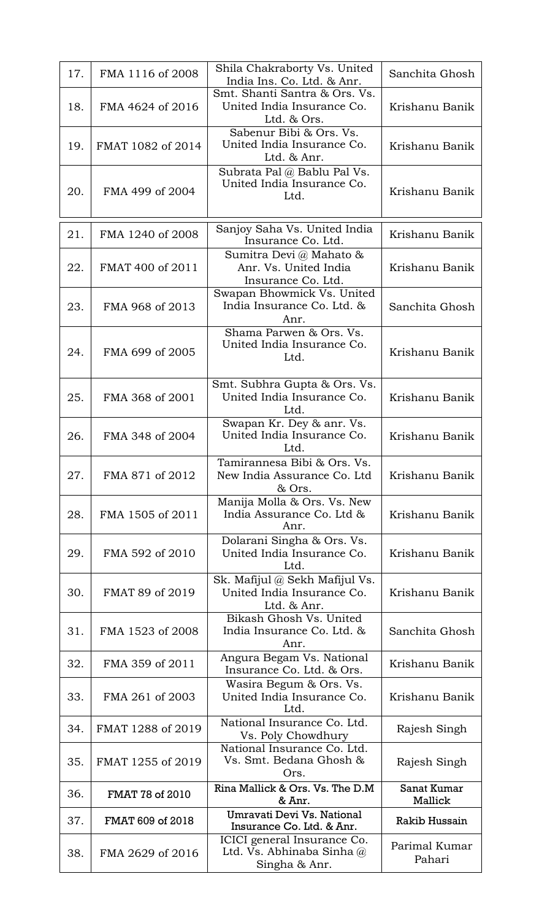| 17. | FMA 1116 of 2008  | Shila Chakraborty Vs. United<br>India Ins. Co. Ltd. & Anr.                  | Sanchita Ghosh          |
|-----|-------------------|-----------------------------------------------------------------------------|-------------------------|
| 18. | FMA 4624 of 2016  | Smt. Shanti Santra & Ors. Vs.<br>United India Insurance Co.<br>Ltd. & Ors.  | Krishanu Banik          |
| 19. | FMAT 1082 of 2014 | Sabenur Bibi & Ors. Vs.<br>United India Insurance Co.<br>Ltd. & Anr.        | Krishanu Banik          |
| 20. | FMA 499 of 2004   | Subrata Pal @ Bablu Pal Vs.<br>United India Insurance Co.<br>Ltd.           | Krishanu Banik          |
| 21. | FMA 1240 of 2008  | Sanjoy Saha Vs. United India<br>Insurance Co. Ltd.                          | Krishanu Banik          |
| 22. | FMAT 400 of 2011  | Sumitra Devi @ Mahato &<br>Anr. Vs. United India<br>Insurance Co. Ltd.      | Krishanu Banik          |
| 23. | FMA 968 of 2013   | Swapan Bhowmick Vs. United<br>India Insurance Co. Ltd. &<br>Anr.            | Sanchita Ghosh          |
| 24. | FMA 699 of 2005   | Shama Parwen & Ors. Vs.<br>United India Insurance Co.<br>Ltd.               | Krishanu Banik          |
| 25. | FMA 368 of 2001   | Smt. Subhra Gupta & Ors. Vs.<br>United India Insurance Co.<br>Ltd.          | Krishanu Banik          |
| 26. | FMA 348 of 2004   | Swapan Kr. Dey & anr. Vs.<br>United India Insurance Co.<br>Ltd.             | Krishanu Banik          |
| 27. | FMA 871 of 2012   | Tamirannesa Bibi & Ors. Vs.<br>New India Assurance Co. Ltd<br>& Ors.        | Krishanu Banik          |
| 28. | FMA 1505 of 2011  | Manija Molla & Ors. Vs. New<br>India Assurance Co. Ltd &<br>Anr.            | Krishanu Banik          |
| 29. | FMA 592 of 2010   | Dolarani Singha & Ors. Vs.<br>United India Insurance Co.<br>Ltd.            | Krishanu Banik          |
| 30. | FMAT 89 of 2019   | Sk. Mafijul @ Sekh Mafijul Vs.<br>United India Insurance Co.<br>Ltd. & Anr. | Krishanu Banik          |
| 31. | FMA 1523 of 2008  | Bikash Ghosh Vs. United<br>India Insurance Co. Ltd. &<br>Anr.               | Sanchita Ghosh          |
| 32. | FMA 359 of 2011   | Angura Begam Vs. National<br>Insurance Co. Ltd. & Ors.                      | Krishanu Banik          |
| 33. | FMA 261 of 2003   | Wasira Begum & Ors. Vs.<br>United India Insurance Co.<br>Ltd.               | Krishanu Banik          |
| 34. | FMAT 1288 of 2019 | National Insurance Co. Ltd.<br>Vs. Poly Chowdhury                           | Rajesh Singh            |
| 35. | FMAT 1255 of 2019 | National Insurance Co. Ltd.<br>Vs. Smt. Bedana Ghosh &<br>Ors.              | Rajesh Singh            |
| 36. | FMAT 78 of 2010   | Rina Mallick & Ors. Vs. The D.M<br>& Anr.                                   | Sanat Kumar<br>Mallick  |
| 37. | FMAT 609 of 2018  | Umravati Devi Vs. National<br>Insurance Co. Ltd. & Anr.                     | Rakib Hussain           |
| 38. | FMA 2629 of 2016  | ICICI general Insurance Co.<br>Ltd. Vs. Abhinaba Sinha $@$<br>Singha & Anr. | Parimal Kumar<br>Pahari |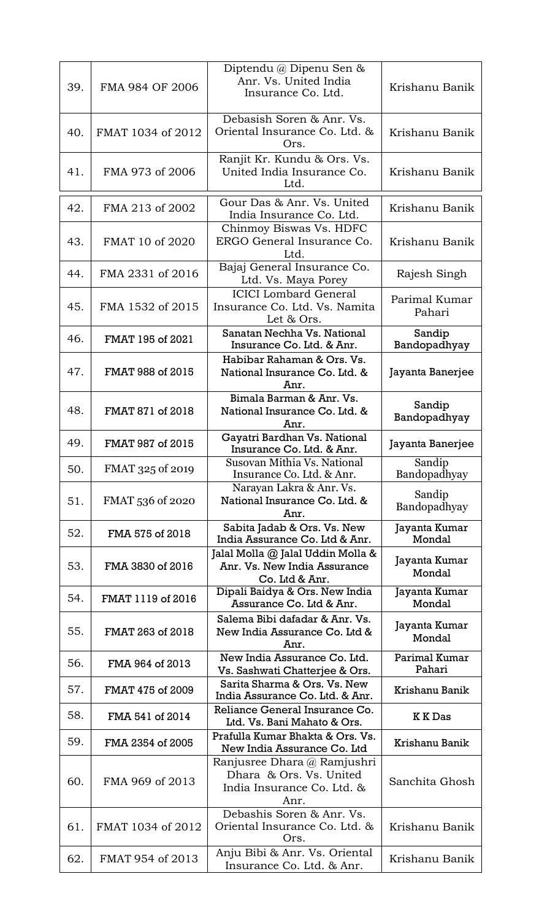| 39. | FMA 984 OF 2006   | Diptendu @ Dipenu Sen &<br>Anr. Vs. United India<br>Insurance Co. Ltd.                       | Krishanu Banik          |
|-----|-------------------|----------------------------------------------------------------------------------------------|-------------------------|
| 40. | FMAT 1034 of 2012 | Debasish Soren & Anr. Vs.<br>Oriental Insurance Co. Ltd. &<br>Ors.                           | Krishanu Banik          |
| 41. | FMA 973 of 2006   | Ranjit Kr. Kundu & Ors. Vs.<br>United India Insurance Co.<br>Ltd.                            | Krishanu Banik          |
| 42. | FMA 213 of 2002   | Gour Das & Anr. Vs. United<br>India Insurance Co. Ltd.                                       | Krishanu Banik          |
| 43. | FMAT 10 of 2020   | Chinmoy Biswas Vs. HDFC<br>ERGO General Insurance Co.<br>Ltd.                                | Krishanu Banik          |
| 44. | FMA 2331 of 2016  | Bajaj General Insurance Co.<br>Ltd. Vs. Maya Porey                                           | Rajesh Singh            |
| 45. | FMA 1532 of 2015  | <b>ICICI</b> Lombard General<br>Insurance Co. Ltd. Vs. Namita<br>Let & Ors.                  | Parimal Kumar<br>Pahari |
| 46. | FMAT 195 of 2021  | Sanatan Nechha Vs. National<br>Insurance Co. Ltd. & Anr.                                     | Sandip<br>Bandopadhyay  |
| 47. | FMAT 988 of 2015  | Habibar Rahaman & Ors. Vs.<br>National Insurance Co. Ltd. &<br>Anr.                          | Jayanta Banerjee        |
| 48. | FMAT 871 of 2018  | Bimala Barman & Anr. Vs.<br>National Insurance Co. Ltd. &<br>Anr.                            | Sandip<br>Bandopadhyay  |
| 49. | FMAT 987 of 2015  | Gayatri Bardhan Vs. National<br>Insurance Co. Ltd. & Anr.                                    | Jayanta Banerjee        |
| 50. | FMAT 325 of 2019  | Susovan Mithia Vs. National<br>Insurance Co. Ltd. & Anr.                                     | Sandip<br>Bandopadhyay  |
| 51. | FMAT 536 of 2020  | Narayan Lakra & Anr. Vs.<br>National Insurance Co. Ltd. &<br>Anr.                            | Sandip<br>Bandopadhyay  |
| 52. | FMA 575 of 2018   | Sabita Jadab & Ors. Vs. New<br>India Assurance Co. Ltd & Anr.                                | Jayanta Kumar<br>Mondal |
| 53. | FMA 3830 of 2016  | Jalal Molla @ Jalal Uddin Molla &<br>Anr. Vs. New India Assurance<br>Co. Ltd & Anr.          | Jayanta Kumar<br>Mondal |
| 54. | FMAT 1119 of 2016 | Dipali Baidya & Ors. New India<br>Assurance Co. Ltd & Anr.                                   | Jayanta Kumar<br>Mondal |
| 55. | FMAT 263 of 2018  | Salema Bibi dafadar & Anr. Vs.<br>New India Assurance Co. Ltd &<br>Anr.                      | Jayanta Kumar<br>Mondal |
| 56. | FMA 964 of 2013   | New India Assurance Co. Ltd.<br>Vs. Sashwati Chatterjee & Ors.                               | Parimal Kumar<br>Pahari |
| 57. | FMAT 475 of 2009  | Sarita Sharma & Ors. Vs. New<br>India Assurance Co. Ltd. & Anr.                              | Krishanu Banik          |
| 58. | FMA 541 of 2014   | Reliance General Insurance Co.<br>Ltd. Vs. Bani Mahato & Ors.                                | <b>KKDas</b>            |
| 59. | FMA 2354 of 2005  | Prafulla Kumar Bhakta & Ors. Vs.<br>New India Assurance Co. Ltd                              | Krishanu Banik          |
| 60. | FMA 969 of 2013   | Ranjusree Dhara @ Ramjushri<br>Dhara & Ors. Vs. United<br>India Insurance Co. Ltd. &<br>Anr. | Sanchita Ghosh          |
| 61. | FMAT 1034 of 2012 | Debashis Soren & Anr. Vs.<br>Oriental Insurance Co. Ltd. &<br>Ors.                           | Krishanu Banik          |
| 62. | FMAT 954 of 2013  | Anju Bibi & Anr. Vs. Oriental<br>Insurance Co. Ltd. & Anr.                                   | Krishanu Banik          |